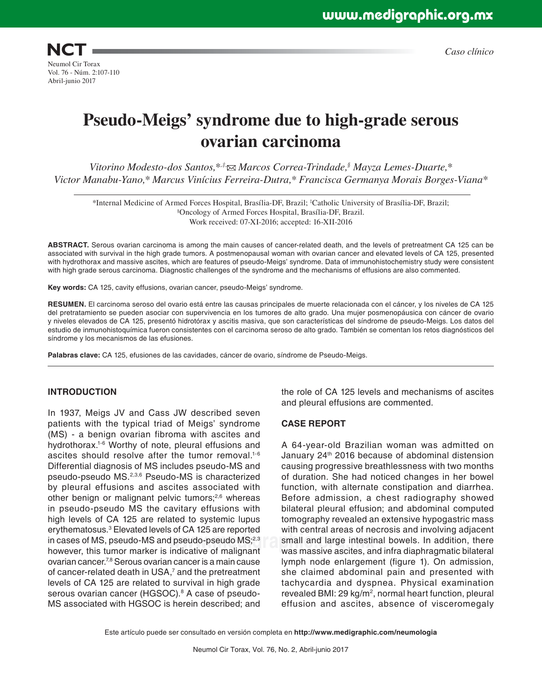**NCT** Neumol Cir Torax Vol. 76 - Núm. 2:107-110 Abril-junio 2017

*Caso clínico*

# **Pseudo-Meigs' syndrome due to high-grade serous ovarian carcinoma**

*Vitorino Modesto-dos Santos,\*<sup>,‡</sup>∞ Marcos Correa-Trindade,<sup>§</sup> Mayza Lemes-Duarte,\* Victor Manabu-Yano,\* Marcus Vinícius Ferreira-Dutra,\* Francisca Germanya Morais Borges-Viana\**

\*Internal Medicine of Armed Forces Hospital, Brasília-DF, Brazil; ‡ Catholic University of Brasília-DF, Brazil; § Oncology of Armed Forces Hospital, Brasília-DF, Brazil. Work received: 07-XI-2016; accepted: 16-XII-2016

**ABSTRACT.** Serous ovarian carcinoma is among the main causes of cancer-related death, and the levels of pretreatment CA 125 can be associated with survival in the high grade tumors. A postmenopausal woman with ovarian cancer and elevated levels of CA 125, presented with hydrothorax and massive ascites, which are features of pseudo-Meigs' syndrome. Data of immunohistochemistry study were consistent with high grade serous carcinoma. Diagnostic challenges of the syndrome and the mechanisms of effusions are also commented.

**Key words:** CA 125, cavity effusions, ovarian cancer, pseudo-Meigs' syndrome.

**RESUMEN.** El carcinoma seroso del ovario está entre las causas principales de muerte relacionada con el cáncer, y los niveles de CA 125 del pretratamiento se pueden asociar con supervivencia en los tumores de alto grado. Una mujer posmenopáusica con cáncer de ovario y niveles elevados de CA 125, presentó hidrotórax y ascitis masiva, que son características del síndrome de pseudo-Meigs. Los datos del estudio de inmunohistoquímica fueron consistentes con el carcinoma seroso de alto grado. También se comentan los retos diagnósticos del síndrome y los mecanismos de las efusiones.

**Palabras clave:** CA 125, efusiones de las cavidades, cáncer de ovario, síndrome de Pseudo-Meigs.

#### **INTRODUCTION**

in cases of MS, pseudo-MS and pseudo-pseudo MS;<sup>2,3</sup> small and large intesting the state of malignant. In 1937, Meigs JV and Cass JW described seven patients with the typical triad of Meigs' syndrome (MS) - a benign ovarian fibroma with ascites and hydrothorax.1-6 Worthy of note, pleural effusions and ascites should resolve after the tumor removal.<sup>1-6</sup> Differential diagnosis of MS includes pseudo-MS and pseudo-pseudo MS.2,3,6 Pseudo-MS is characterized by pleural effusions and ascites associated with other benign or malignant pelvic tumors;<sup>2,6</sup> whereas in pseudo-pseudo MS the cavitary effusions with high levels of CA 125 are related to systemic lupus erythematosus.3 Elevated levels of CA 125 are reported however, this tumor marker is indicative of malignant ovarian cancer.7,8 Serous ovarian cancer is a main cause of cancer-related death in USA,<sup>7</sup> and the pretreatment levels of CA 125 are related to survival in high grade serous ovarian cancer (HGSOC).<sup>8</sup> A case of pseudo-MS associated with HGSOC is herein described; and

the role of CA 125 levels and mechanisms of ascites and pleural effusions are commented.

### **CASE REPORT**

A 64-year-old Brazilian woman was admitted on January 24<sup>th</sup> 2016 because of abdominal distension causing progressive breathlessness with two months of duration. She had noticed changes in her bowel function, with alternate constipation and diarrhea. Before admission, a chest radiography showed bilateral pleural effusion; and abdominal computed tomography revealed an extensive hypogastric mass with central areas of necrosis and involving adjacent small and large intestinal bowels. In addition, there was massive ascites, and infra diaphragmatic bilateral lymph node enlargement (figure 1). On admission, she claimed abdominal pain and presented with tachycardia and dyspnea. Physical examination revealed BMI: 29 kg/m<sup>2</sup>, normal heart function, pleural effusion and ascites, absence of visceromegaly

Este artículo puede ser consultado en versión completa en **http://www.medigraphic.com/neumologia**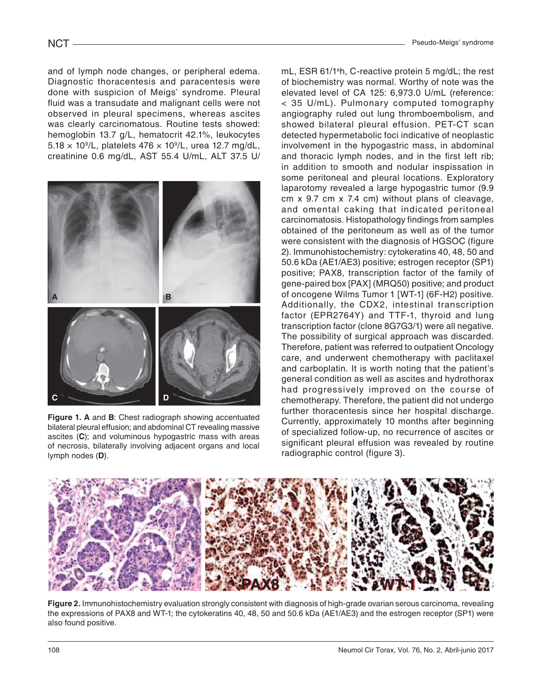and of lymph node changes, or peripheral edema. Diagnostic thoracentesis and paracentesis were done with suspicion of Meigs' syndrome. Pleural fluid was a transudate and malignant cells were not observed in pleural specimens, whereas ascites was clearly carcinomatous. Routine tests showed: hemoglobin 13.7 g/L, hematocrit 42.1%, leukocytes  $5.18 \times 10^9$ /L, platelets  $476 \times 10^9$ /L, urea 12.7 mg/dL, creatinine 0.6 mg/dL, AST 55.4 U/mL, ALT 37.5 U/



**Figure 1. A** and **B**: Chest radiograph showing accentuated bilateral pleural effusion; and abdominal CT revealing massive ascites (**C**); and voluminous hypogastric mass with areas of necrosis, bilaterally involving adjacent organs and local lymph nodes (**D**).

mL, ESR 61/1<sup>a</sup>h, C-reactive protein 5 mg/dL; the rest of biochemistry was normal. Worthy of note was the elevated level of CA 125: 6,973.0 U/mL (reference: < 35 U/mL). Pulmonary computed tomography angiography ruled out lung thromboembolism, and showed bilateral pleural effusion. PET-CT scan detected hypermetabolic foci indicative of neoplastic involvement in the hypogastric mass, in abdominal and thoracic lymph nodes, and in the first left rib; in addition to smooth and nodular inspissation in some peritoneal and pleural locations. Exploratory laparotomy revealed a large hypogastric tumor (9.9 cm x 9.7 cm x 7.4 cm) without plans of cleavage, and omental caking that indicated peritoneal carcinomatosis. Histopathology findings from samples obtained of the peritoneum as well as of the tumor were consistent with the diagnosis of HGSOC (figure 2). Immunohistochemistry: cytokeratins 40, 48, 50 and 50.6 kDa (AE1/AE3) positive; estrogen receptor (SP1) positive; PAX8, transcription factor of the family of gene-paired box [PAX] (MRQ50) positive; and product of oncogene Wilms Tumor 1 [WT-1] (6F-H2) positive. Additionally, the CDX2, intestinal transcription factor (EPR2764Y) and TTF-1, thyroid and lung transcription factor (clone 8G7G3/1) were all negative. The possibility of surgical approach was discarded. Therefore, patient was referred to outpatient Oncology care, and underwent chemotherapy with paclitaxel and carboplatin. It is worth noting that the patient's general condition as well as ascites and hydrothorax had progressively improved on the course of chemotherapy. Therefore, the patient did not undergo further thoracentesis since her hospital discharge. Currently, approximately 10 months after beginning of specialized follow-up, no recurrence of ascites or significant pleural effusion was revealed by routine radiographic control (figure 3).



**Figure 2.** Immunohistochemistry evaluation strongly consistent with diagnosis of high-grade ovarian serous carcinoma, revealing the expressions of PAX8 and WT-1; the cytokeratins 40, 48, 50 and 50.6 kDa (AE1/AE3) and the estrogen receptor (SP1) were also found positive.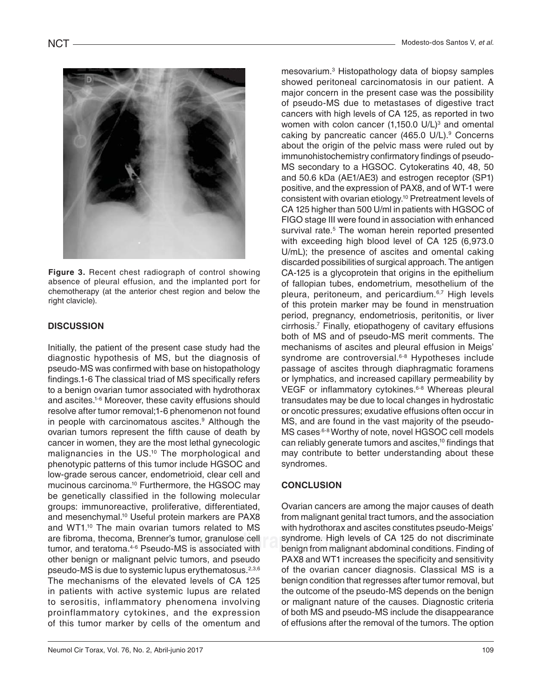

**Figure 3.** Recent chest radiograph of control showing absence of pleural effusion, and the implanted port for chemotherapy (at the anterior chest region and below the right clavicle).

## **DISCUSSION**

Initially, the patient of the present case study had the diagnostic hypothesis of MS, but the diagnosis of pseudo-MS was confirmed with base on histopathology findings.1-6 The classical triad of MS specifically refers to a benign ovarian tumor associated with hydrothorax and ascites.1-6 Moreover, these cavity effusions should resolve after tumor removal;1-6 phenomenon not found in people with carcinomatous ascites.<sup>9</sup> Although the ovarian tumors represent the fifth cause of death by cancer in women, they are the most lethal gynecologic malignancies in the US.10 The morphological and phenotypic patterns of this tumor include HGSOC and low-grade serous cancer, endometrioid, clear cell and mucinous carcinoma.10 Furthermore, the HGSOC may be genetically classified in the following molecular groups: immunoreactive, proliferative, differentiated, and mesenchymal.<sup>10</sup> Useful protein markers are PAX8 and WT1.<sup>10</sup> The main ovarian tumors related to MS are fibroma, thecoma, Brenner's tumor, granulose cell tumor, and teratoma.<sup>4-6</sup> Pseudo-MS is associated with other benign or malignant pelvic tumors, and pseudo pseudo-MS is due to systemic lupus erythematosus.<sup>2,3,6</sup> The mechanisms of the elevated levels of CA 125 in patients with active systemic lupus are related to serositis, inflammatory phenomena involving proinflammatory cytokines, and the expression of this tumor marker by cells of the omentum and

women with colon cancer (1,150.0 U/L)<sup>3</sup> and omental mesovarium.3 Histopathology data of biopsy samples showed peritoneal carcinomatosis in our patient. A major concern in the present case was the possibility of pseudo-MS due to metastases of digestive tract cancers with high levels of CA 125, as reported in two caking by pancreatic cancer (465.0 U/L).<sup>9</sup> Concerns about the origin of the pelvic mass were ruled out by immunohistochemistry confirmatory findings of pseudo-MS secondary to a HGSOC. Cytokeratins 40, 48, 50 and 50.6 kDa (AE1/AE3) and estrogen receptor (SP1) positive, and the expression of PAX8, and of WT-1 were consistent with ovarian etiology.10 Pretreatment levels of CA 125 higher than 500 U/ml in patients with HGSOC of FIGO stage III were found in association with enhanced survival rate.<sup>5</sup> The woman herein reported presented with exceeding high blood level of CA 125 (6,973.0 U/mL); the presence of ascites and omental caking discarded possibilities of surgical approach. The antigen CA-125 is a glycoprotein that origins in the epithelium of fallopian tubes, endometrium, mesothelium of the pleura, peritoneum, and pericardium.6,7 High levels of this protein marker may be found in menstruation period, pregnancy, endometriosis, peritonitis, or liver cirrhosis.7 Finally, etiopathogeny of cavitary effusions both of MS and of pseudo-MS merit comments. The mechanisms of ascites and pleural effusion in Meigs' syndrome are controversial.<sup>6-8</sup> Hypotheses include passage of ascites through diaphragmatic foramens or lymphatics, and increased capillary permeability by VEGF or inflammatory cytokines.<sup>6-8</sup> Whereas pleural transudates may be due to local changes in hydrostatic or oncotic pressures; exudative effusions often occur in MS, and are found in the vast majority of the pseudo-MS cases<sup>.6-8</sup> Worthy of note, novel HGSOC cell models can reliably generate tumors and ascites,<sup>10</sup> findings that may contribute to better understanding about these syndromes.

### **CONCLUSION**

S tumor, granulose cell syndrome. High levels of CA 125 do not discriminate<sup>'</sup><br>Normal sassociated with the penign from malignant abdominal conditions. Finding of Ovarian cancers are among the major causes of death from malignant genital tract tumors, and the association with hydrothorax and ascites constitutes pseudo-Meigs' benign from malignant abdominal conditions. Finding of PAX8 and WT1 increases the specificity and sensitivity of the ovarian cancer diagnosis. Classical MS is a benign condition that regresses after tumor removal, but the outcome of the pseudo-MS depends on the benign or malignant nature of the causes. Diagnostic criteria of both MS and pseudo-MS include the disappearance of effusions after the removal of the tumors. The option